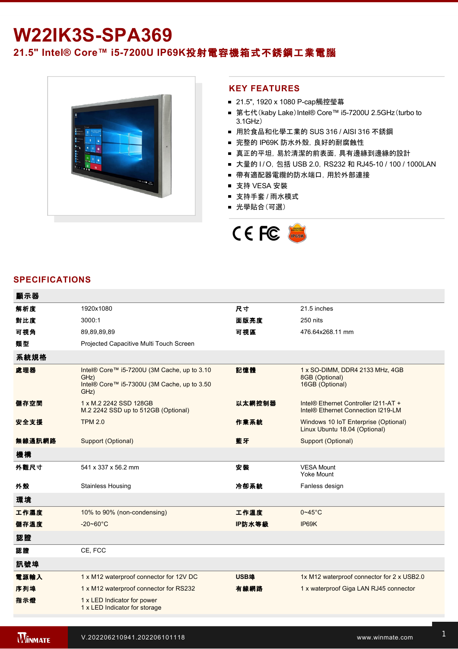# **W22IK3S-SPA369**

## **21.5" Intel® Core™ i57200U IP69K**投射電容機箱式不銹鋼工業電腦



#### **KEY FEATURES**

- 21.5", 1920 x 1080 P-cap觸控瑩幕
- 第七代(kaby Lake) Intel® Core™ i5-7200U 2.5GHz(turbo to 3.1GHz)
- 用於食品和化學工業的 SUS 316 / AISI 316 不銹鋼
- 完整的 IP69K 防水外殼, 良好的耐腐蝕性
- 真正的平坦, 易於清潔的前表面, 具有邊緣到邊緣的設計
- 大量的 I / O, 包括 USB 2.0, RS232 和 RJ45-10 / 100 / 1000LAN
- 帶有適配器電纜的防水端口, 用於外部連接
- 支持 VESA 安裝
- 支持手套 / 雨水模式
- 光學貼合(可選)



### **SPECIFICATIONS**

| 顯示器    |                                                                                                            |        |                                                                            |
|--------|------------------------------------------------------------------------------------------------------------|--------|----------------------------------------------------------------------------|
| 解析度    | 1920x1080                                                                                                  | 尺寸     | 21.5 inches                                                                |
| 對比度    | 3000:1                                                                                                     | 面版亮度   | 250 nits                                                                   |
| 可視角    | 89,89,89,89                                                                                                | 可視區    | 476.64x268.11 mm                                                           |
| 類型     | Projected Capacitive Multi Touch Screen                                                                    |        |                                                                            |
| 系統規格   |                                                                                                            |        |                                                                            |
| 處理器    | Intel® Core™ i5-7200U (3M Cache, up to 3.10<br>GHz)<br>Intel® Core™ i5-7300U (3M Cache, up to 3.50<br>GHz) | 記憶體    | 1 x SO-DIMM, DDR4 2133 MHz, 4GB<br>8GB (Optional)<br>16GB (Optional)       |
| 儲存空間   | 1 x M.2 2242 SSD 128GB<br>M.2 2242 SSD up to 512GB (Optional)                                              | 以太網控制器 | Intel® Ethernet Controller I211-AT +<br>Intel® Ethernet Connection I219-LM |
| 安全支援   | <b>TPM 2.0</b>                                                                                             | 作業系統   | Windows 10 IoT Enterprise (Optional)<br>Linux Ubuntu 18.04 (Optional)      |
| 無線通訊網路 | Support (Optional)                                                                                         | 藍牙     | Support (Optional)                                                         |
| 機構     |                                                                                                            |        |                                                                            |
| 外觀尺寸   | 541 x 337 x 56.2 mm                                                                                        | 安裝     | <b>VESA Mount</b><br><b>Yoke Mount</b>                                     |
| 外殼     | <b>Stainless Housing</b>                                                                                   | 冷卻系統   | Fanless design                                                             |
| 環境     |                                                                                                            |        |                                                                            |
| 工作濕度   | 10% to 90% (non-condensing)                                                                                | 工作溫度   | $0 - 45$ °C                                                                |
| 儲存溫度   | $-20 - 60^{\circ}C$                                                                                        | IP防水等級 | IP69K                                                                      |
| 認證     |                                                                                                            |        |                                                                            |
| 認證     | CE, FCC                                                                                                    |        |                                                                            |
| 訊號埠    |                                                                                                            |        |                                                                            |
| 電源輸入   | 1 x M12 waterproof connector for 12V DC                                                                    | USB埠   | 1x M12 waterproof connector for 2 x USB2.0                                 |
| 序列埠    | 1 x M12 waterproof connector for RS232                                                                     | 有線網路   | 1 x waterproof Giga LAN RJ45 connector                                     |
| 指示燈    | 1 x LED Indicator for power<br>1 x LED Indicator for storage                                               |        |                                                                            |
|        |                                                                                                            |        |                                                                            |